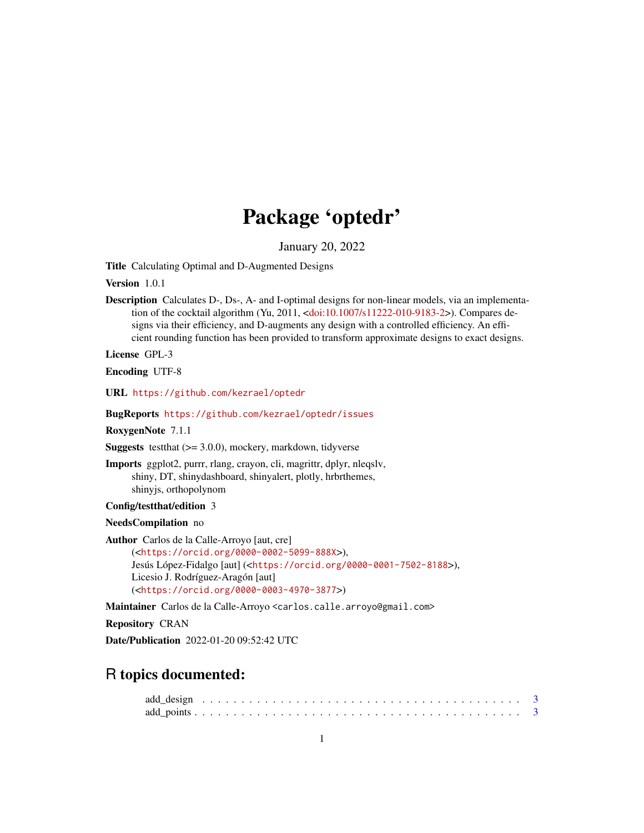# Package 'optedr'

January 20, 2022

Title Calculating Optimal and D-Augmented Designs

Version 1.0.1

Description Calculates D-, Ds-, A- and I-optimal designs for non-linear models, via an implementation of the cocktail algorithm (Yu, 2011, [<doi:10.1007/s11222-010-9183-2>](https://doi.org/10.1007/s11222-010-9183-2)). Compares designs via their efficiency, and D-augments any design with a controlled efficiency. An efficient rounding function has been provided to transform approximate designs to exact designs.

License GPL-3

Encoding UTF-8

URL <https://github.com/kezrael/optedr>

BugReports <https://github.com/kezrael/optedr/issues>

#### RoxygenNote 7.1.1

**Suggests** test that  $(>= 3.0.0)$ , mockery, markdown, tidyverse

Imports ggplot2, purrr, rlang, crayon, cli, magrittr, dplyr, nleqslv, shiny, DT, shinydashboard, shinyalert, plotly, hrbrthemes, shinyjs, orthopolynom

Config/testthat/edition 3

NeedsCompilation no

Author Carlos de la Calle-Arroyo [aut, cre]

```
(<https://orcid.org/0000-0002-5099-888X>),
Jesús López-Fidalgo [aut] (<https://orcid.org/0000-0001-7502-8188>),
Licesio J. Rodríguez-Aragón [aut]
(<https://orcid.org/0000-0003-4970-3877>)
```
Maintainer Carlos de la Calle-Arroyo <carlos.calle.arroyo@gmail.com>

Repository CRAN

Date/Publication 2022-01-20 09:52:42 UTC

# R topics documented: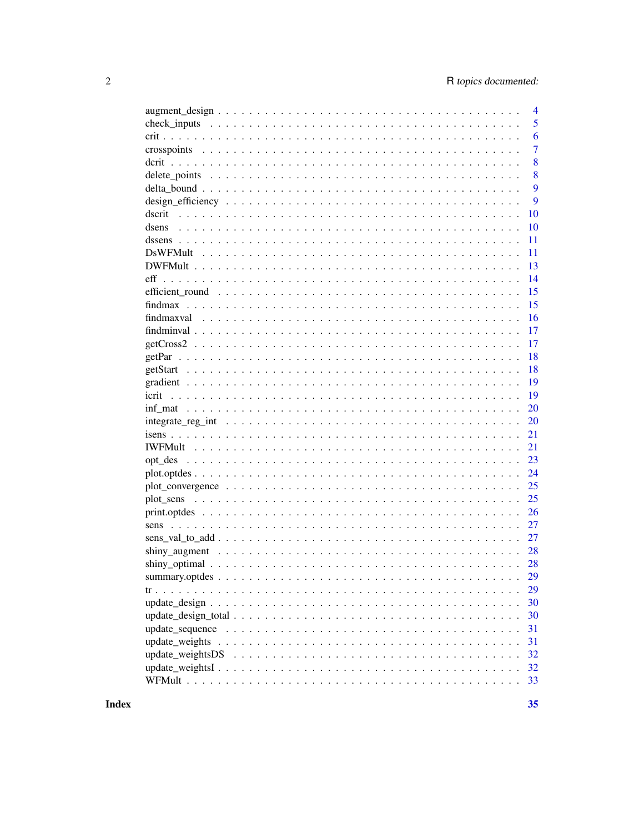|                  |  | 4         |
|------------------|--|-----------|
|                  |  | 5         |
|                  |  | 6         |
|                  |  | 7         |
|                  |  | 8         |
|                  |  | 8         |
|                  |  | 9         |
|                  |  | 9         |
|                  |  | 10        |
|                  |  | 10        |
|                  |  | 11        |
|                  |  | 11        |
|                  |  | 13        |
|                  |  | 14        |
|                  |  | 15        |
|                  |  | 15        |
|                  |  | 16        |
|                  |  | 17        |
|                  |  | 17        |
|                  |  | 18        |
|                  |  | 18        |
|                  |  | 19        |
|                  |  | 19        |
|                  |  | 20        |
|                  |  | <b>20</b> |
|                  |  | 21        |
|                  |  | 21        |
|                  |  | 23        |
|                  |  | 24        |
|                  |  | 25        |
|                  |  | 25        |
|                  |  | 26        |
|                  |  | 27        |
|                  |  | 27        |
|                  |  | 28        |
|                  |  | 28        |
|                  |  | 29        |
|                  |  | 29        |
|                  |  | 30        |
|                  |  | 30        |
|                  |  | 31        |
| update_weights   |  | 31        |
| update weightsDS |  | 32        |
|                  |  | 32        |
|                  |  | 33        |
|                  |  |           |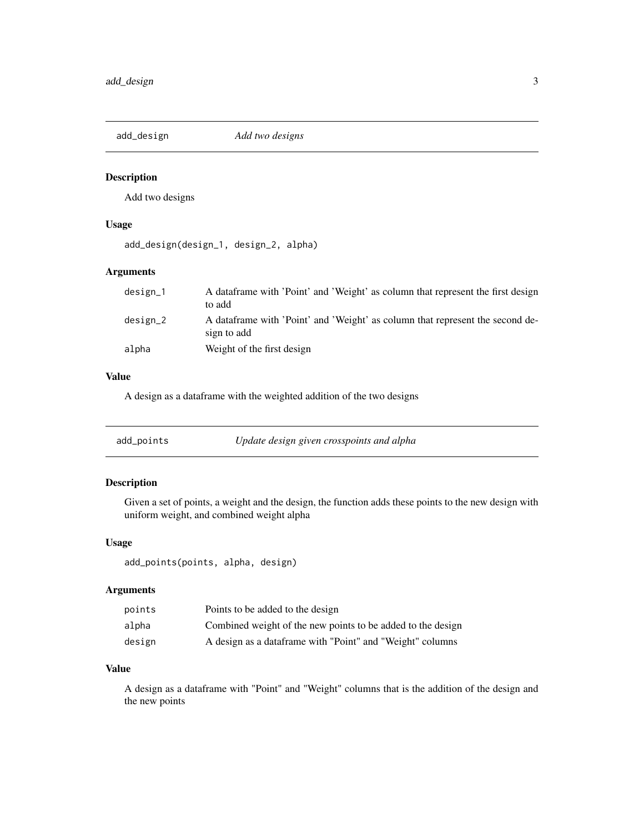<span id="page-2-0"></span>

Add two designs

#### Usage

add\_design(design\_1, design\_2, alpha)

#### Arguments

| design_1 | A dataframe with 'Point' and 'Weight' as column that represent the first design<br>to add    |
|----------|----------------------------------------------------------------------------------------------|
| design_2 | A dataframe with 'Point' and 'Weight' as column that represent the second de-<br>sign to add |
| alpha    | Weight of the first design                                                                   |

# Value

A design as a dataframe with the weighted addition of the two designs

#### Description

Given a set of points, a weight and the design, the function adds these points to the new design with uniform weight, and combined weight alpha

#### Usage

add\_points(points, alpha, design)

#### Arguments

| points | Points to be added to the design                            |
|--------|-------------------------------------------------------------|
| alpha  | Combined weight of the new points to be added to the design |
| design | A design as a dataframe with "Point" and "Weight" columns   |

#### Value

A design as a dataframe with "Point" and "Weight" columns that is the addition of the design and the new points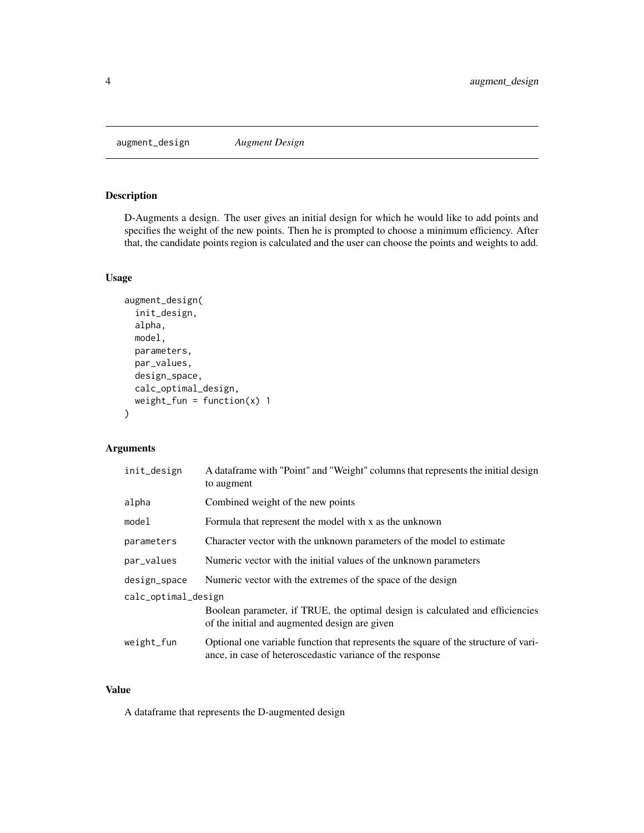<span id="page-3-0"></span>augment\_design *Augment Design*

#### Description

D-Augments a design. The user gives an initial design for which he would like to add points and specifies the weight of the new points. Then he is prompted to choose a minimum efficiency. After that, the candidate points region is calculated and the user can choose the points and weights to add.

#### Usage

```
augment_design(
  init_design,
  alpha,
 model,
 parameters,
 par_values,
 design_space,
  calc_optimal_design,
 weight_fun = function(x) 1)
```
# Arguments

| init_design         | A dataframe with "Point" and "Weight" columns that represents the initial design<br>to augment                                                   |
|---------------------|--------------------------------------------------------------------------------------------------------------------------------------------------|
| alpha               | Combined weight of the new points                                                                                                                |
| model               | Formula that represent the model with x as the unknown                                                                                           |
| parameters          | Character vector with the unknown parameters of the model to estimate                                                                            |
| par_values          | Numeric vector with the initial values of the unknown parameters                                                                                 |
| design_space        | Numeric vector with the extremes of the space of the design                                                                                      |
| calc_optimal_design |                                                                                                                                                  |
|                     | Boolean parameter, if TRUE, the optimal design is calculated and efficiencies<br>of the initial and augmented design are given                   |
| weight_fun          | Optional one variable function that represents the square of the structure of vari-<br>ance, in case of heteroscedastic variance of the response |

# Value

A dataframe that represents the D-augmented design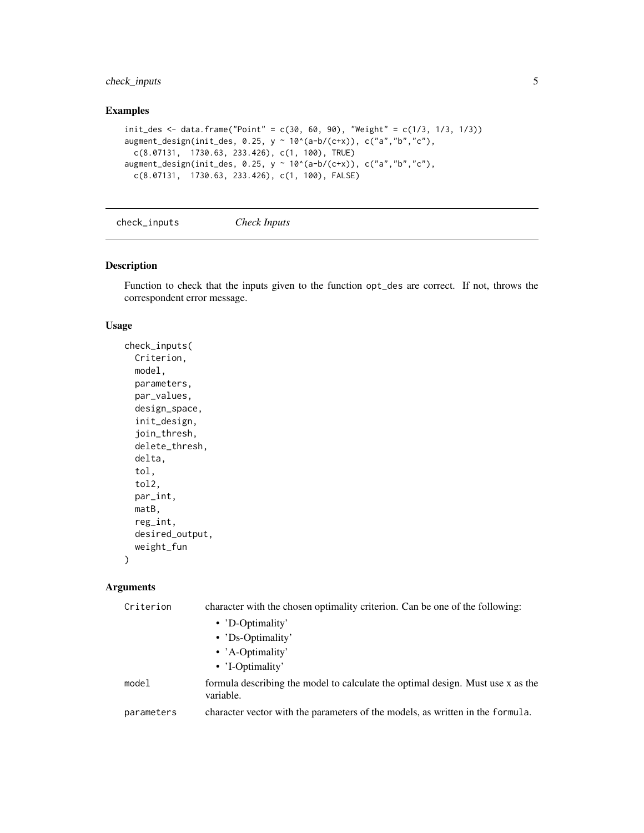# <span id="page-4-0"></span>check\_inputs 5

#### Examples

```
init\_des \leq data . frame("Point" = c(30, 60, 90), "Weight" = c(1/3, 1/3, 1/3))
augment_design(init_des, 0.25, y \sim 10^{(a-b)/(c+x)}, c("a","b","c"),
 c(8.07131, 1730.63, 233.426), c(1, 100), TRUE)
augment_design(init_des, 0.25, y ~ 10^(a-b/(c+x)), c("a","b","c"),
 c(8.07131, 1730.63, 233.426), c(1, 100), FALSE)
```

```
check_inputs Check Inputs
```
#### Description

Function to check that the inputs given to the function opt\_des are correct. If not, throws the correspondent error message.

#### Usage

```
check_inputs(
  Criterion,
  model,
  parameters,
  par_values,
  design_space,
  init_design,
  join_thresh,
  delete_thresh,
  delta,
  tol,
  tol2,
  par_int,
 matB,
  reg_int,
  desired_output,
  weight_fun
)
```

| Criterion  | character with the chosen optimality criterion. Can be one of the following:                 |
|------------|----------------------------------------------------------------------------------------------|
|            | • 'D-Optimality'                                                                             |
|            | • 'Ds-Optimality'                                                                            |
|            | • 'A-Optimality'                                                                             |
|            | • 'I-Optimality'                                                                             |
| model      | formula describing the model to calculate the optimal design. Must use x as the<br>variable. |
| parameters | character vector with the parameters of the models, as written in the formula.               |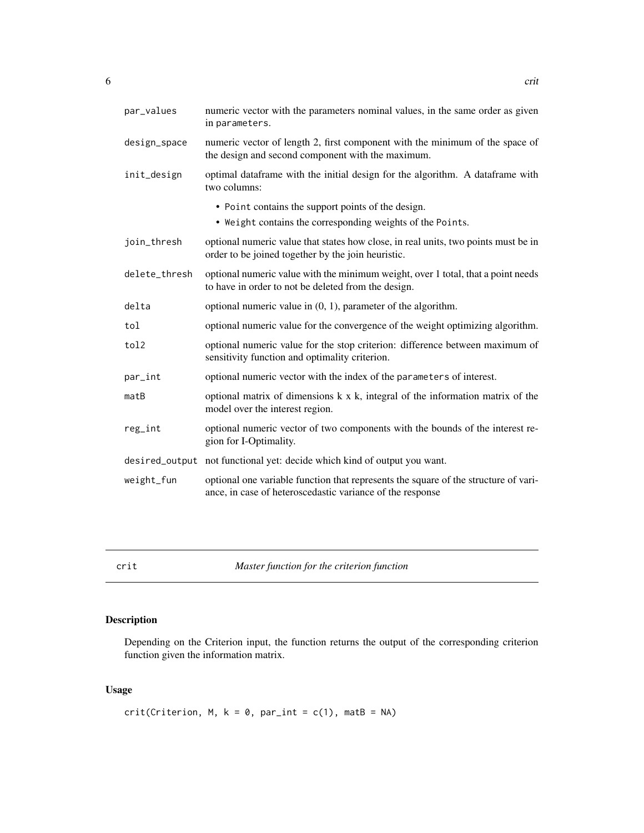<span id="page-5-0"></span>

| par_values    | numeric vector with the parameters nominal values, in the same order as given<br>in parameters.                                                  |
|---------------|--------------------------------------------------------------------------------------------------------------------------------------------------|
| design_space  | numeric vector of length 2, first component with the minimum of the space of<br>the design and second component with the maximum.                |
| init_design   | optimal dataframe with the initial design for the algorithm. A dataframe with<br>two columns:                                                    |
|               | • Point contains the support points of the design.                                                                                               |
|               | • Weight contains the corresponding weights of the Points.                                                                                       |
| join_thresh   | optional numeric value that states how close, in real units, two points must be in<br>order to be joined together by the join heuristic.         |
| delete_thresh | optional numeric value with the minimum weight, over 1 total, that a point needs<br>to have in order to not be deleted from the design.          |
| delta         | optional numeric value in $(0, 1)$ , parameter of the algorithm.                                                                                 |
| tol           | optional numeric value for the convergence of the weight optimizing algorithm.                                                                   |
| tol2          | optional numeric value for the stop criterion: difference between maximum of<br>sensitivity function and optimality criterion.                   |
| par_int       | optional numeric vector with the index of the parameters of interest.                                                                            |
| $m$ at $B$    | optional matrix of dimensions k x k, integral of the information matrix of the<br>model over the interest region.                                |
| reg_int       | optional numeric vector of two components with the bounds of the interest re-<br>gion for I-Optimality.                                          |
|               | desired_output not functional yet: decide which kind of output you want.                                                                         |
| weight_fun    | optional one variable function that represents the square of the structure of vari-<br>ance, in case of heteroscedastic variance of the response |

crit *Master function for the criterion function*

# Description

Depending on the Criterion input, the function returns the output of the corresponding criterion function given the information matrix.

# Usage

```
crit(Criterion, M, k = 0, par_info = c(1), math = NA)
```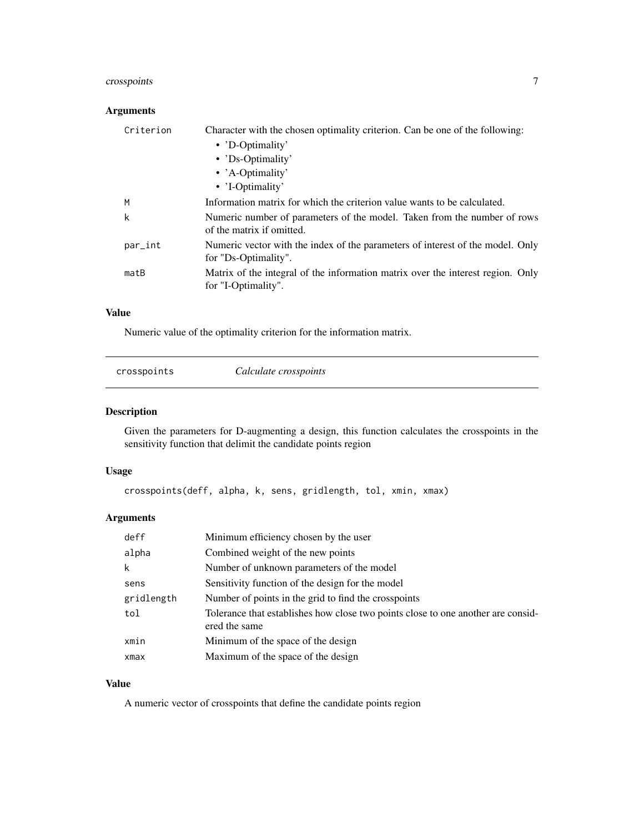# <span id="page-6-0"></span>crosspoints 7

# Arguments

| Criterion | Character with the chosen optimality criterion. Can be one of the following:                           |
|-----------|--------------------------------------------------------------------------------------------------------|
|           | • 'D-Optimality'                                                                                       |
|           | • 'Ds-Optimality'                                                                                      |
|           | • $'A$ -Optimality'                                                                                    |
|           | • 'I-Optimality'                                                                                       |
| M         | Information matrix for which the criterion value wants to be calculated.                               |
| k         | Numeric number of parameters of the model. Taken from the number of rows<br>of the matrix if omitted.  |
| par_int   | Numeric vector with the index of the parameters of interest of the model. Only<br>for "Ds-Optimality". |
| matB      | Matrix of the integral of the information matrix over the interest region. Only<br>for "I-Optimality". |

# Value

Numeric value of the optimality criterion for the information matrix.

| Calculate crosspoints<br>crosspoints |  |
|--------------------------------------|--|
|--------------------------------------|--|

# Description

Given the parameters for D-augmenting a design, this function calculates the crosspoints in the sensitivity function that delimit the candidate points region

#### Usage

crosspoints(deff, alpha, k, sens, gridlength, tol, xmin, xmax)

### Arguments

| deff       | Minimum efficiency chosen by the user                                                               |
|------------|-----------------------------------------------------------------------------------------------------|
| alpha      | Combined weight of the new points                                                                   |
| k          | Number of unknown parameters of the model                                                           |
| sens       | Sensitivity function of the design for the model                                                    |
| gridlength | Number of points in the grid to find the crosspoints                                                |
| tol        | Tolerance that establishes how close two points close to one another are consider-<br>ered the same |
| xmin       | Minimum of the space of the design                                                                  |
| xmax       | Maximum of the space of the design                                                                  |

#### Value

A numeric vector of crosspoints that define the candidate points region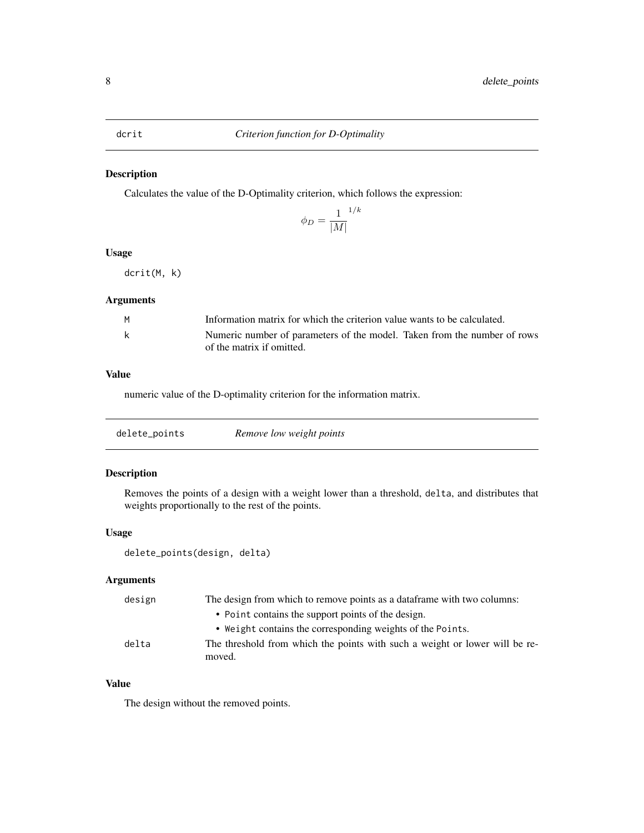<span id="page-7-0"></span>Calculates the value of the D-Optimality criterion, which follows the expression:

$$
\phi_D = \frac{1}{|M|}^{1/k}
$$

#### Usage

dcrit(M, k)

#### Arguments

| м | Information matrix for which the criterion value wants to be calculated.                              |
|---|-------------------------------------------------------------------------------------------------------|
| k | Numeric number of parameters of the model. Taken from the number of rows<br>of the matrix if omitted. |

#### Value

numeric value of the D-optimality criterion for the information matrix.

| Remove low weight points<br>delete_points |
|-------------------------------------------|
|-------------------------------------------|

#### Description

Removes the points of a design with a weight lower than a threshold, delta, and distributes that weights proportionally to the rest of the points.

#### Usage

```
delete_points(design, delta)
```
#### Arguments

| design | The design from which to remove points as a dataframe with two columns:     |  |
|--------|-----------------------------------------------------------------------------|--|
|        | • Point contains the support points of the design.                          |  |
|        | • Weight contains the corresponding weights of the Points.                  |  |
| delta  | The threshold from which the points with such a weight or lower will be re- |  |
|        | moved.                                                                      |  |

#### Value

The design without the removed points.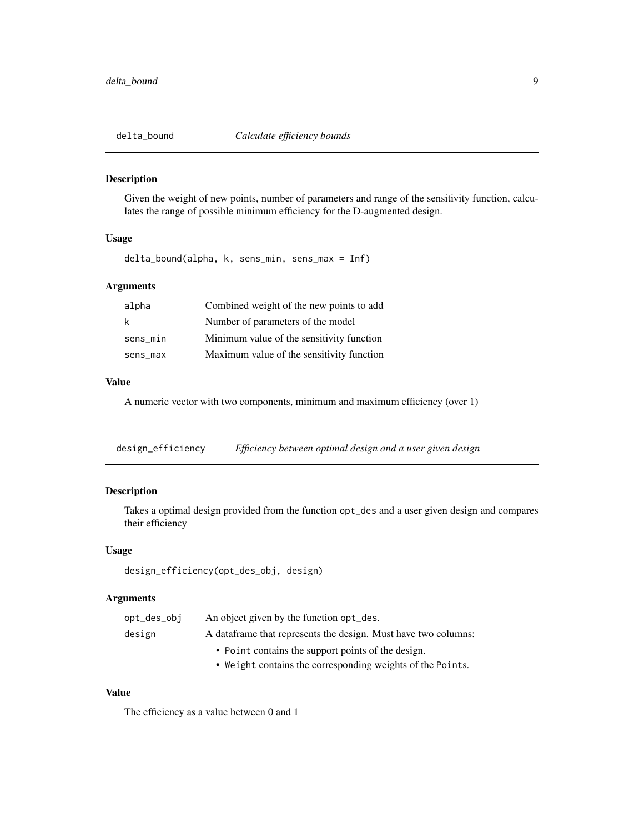<span id="page-8-0"></span>

Given the weight of new points, number of parameters and range of the sensitivity function, calculates the range of possible minimum efficiency for the D-augmented design.

#### Usage

delta\_bound(alpha, k, sens\_min, sens\_max = Inf)

#### Arguments

| alpha    | Combined weight of the new points to add  |
|----------|-------------------------------------------|
| k        | Number of parameters of the model         |
| sens_min | Minimum value of the sensitivity function |
| sens_max | Maximum value of the sensitivity function |

# Value

A numeric vector with two components, minimum and maximum efficiency (over 1)

design\_efficiency *Efficiency between optimal design and a user given design*

### Description

Takes a optimal design provided from the function opt\_des and a user given design and compares their efficiency

#### Usage

```
design_efficiency(opt_des_obj, design)
```
#### Arguments

| opt_des_obi | An object given by the function opt_des.                        |
|-------------|-----------------------------------------------------------------|
| design      | A data frame that represents the design. Must have two columns: |
|             | • Point contains the support points of the design.              |
|             | • Weight contains the corresponding weights of the Points.      |

#### Value

The efficiency as a value between 0 and 1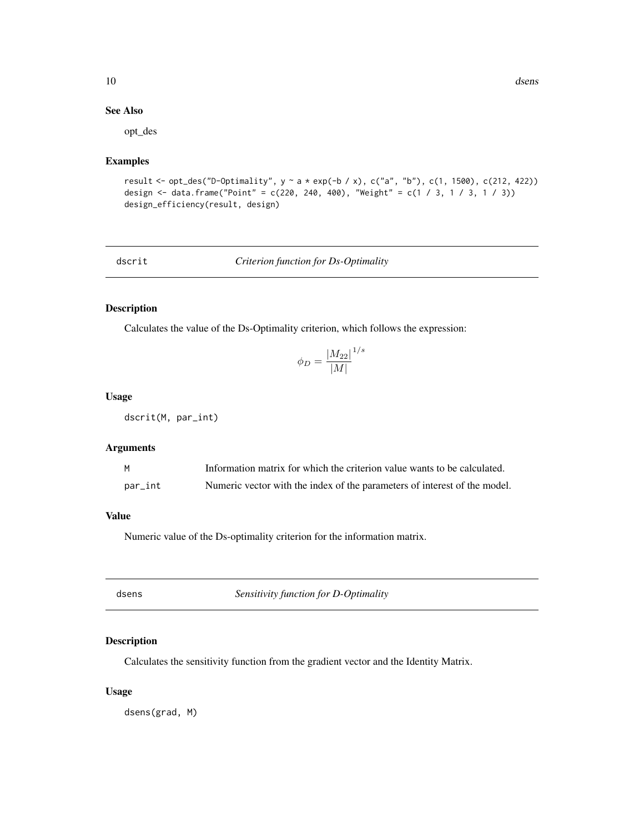#### See Also

opt\_des

#### Examples

```
result <- opt_des("D-Optimality", y ~ a * exp(-b / x), c("a", "b"), c(1, 1500), c(212, 422))
design <- data.frame("Point" = c(220, 240, 400), "Weight" = c(1 / 3, 1 / 3, 1 / 3))
design_efficiency(result, design)
```
#### dscrit *Criterion function for Ds-Optimality*

#### Description

Calculates the value of the Ds-Optimality criterion, which follows the expression:

$$
\phi_D = \frac{|M_{22}|}{|M|}^{1/s}
$$

#### Usage

dscrit(M, par\_int)

#### Arguments

| M       | Information matrix for which the criterion value wants to be calculated.  |
|---------|---------------------------------------------------------------------------|
| par_int | Numeric vector with the index of the parameters of interest of the model. |

#### Value

Numeric value of the Ds-optimality criterion for the information matrix.

dsens *Sensitivity function for D-Optimality*

#### Description

Calculates the sensitivity function from the gradient vector and the Identity Matrix.

#### Usage

dsens(grad, M)

<span id="page-9-0"></span>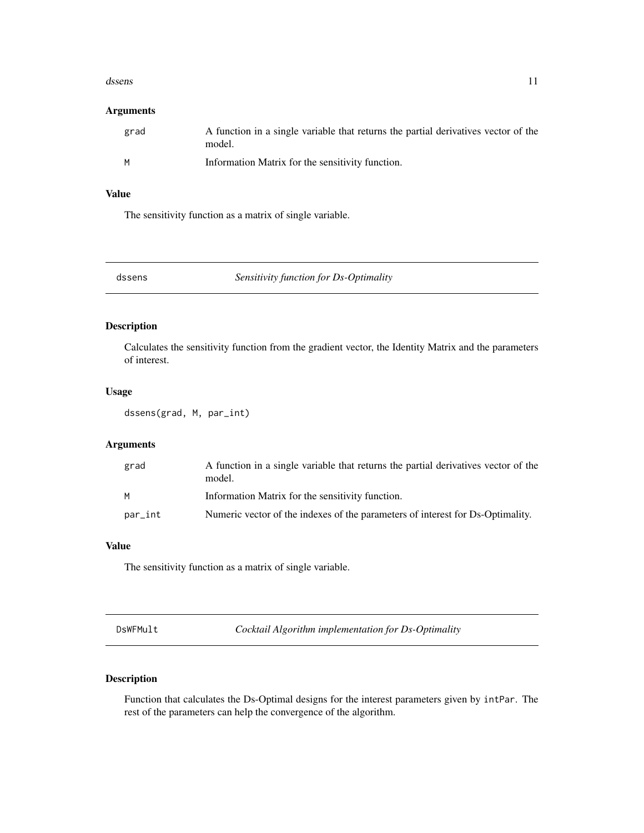#### <span id="page-10-0"></span>dssens and the contract of the contract of the contract of the contract of the contract of the contract of the contract of the contract of the contract of the contract of the contract of the contract of the contract of the

#### Arguments

| grad     | A function in a single variable that returns the partial derivatives vector of the<br>model. |
|----------|----------------------------------------------------------------------------------------------|
| <b>M</b> | Information Matrix for the sensitivity function.                                             |

#### Value

The sensitivity function as a matrix of single variable.

dssens *Sensitivity function for Ds-Optimality*

#### Description

Calculates the sensitivity function from the gradient vector, the Identity Matrix and the parameters of interest.

#### Usage

dssens(grad, M, par\_int)

#### Arguments

| grad    | A function in a single variable that returns the partial derivatives vector of the<br>model. |
|---------|----------------------------------------------------------------------------------------------|
| M       | Information Matrix for the sensitivity function.                                             |
| par_int | Numeric vector of the indexes of the parameters of interest for Ds-Optimality.               |

#### Value

The sensitivity function as a matrix of single variable.

<span id="page-10-1"></span>DsWFMult *Cocktail Algorithm implementation for Ds-Optimality*

#### Description

Function that calculates the Ds-Optimal designs for the interest parameters given by intPar. The rest of the parameters can help the convergence of the algorithm.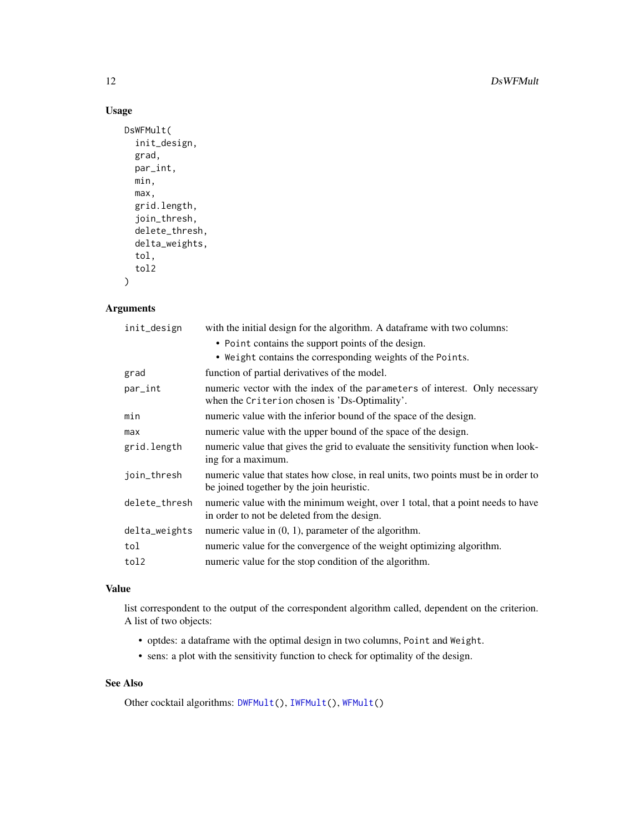# Usage

```
DsWFMult(
  init_design,
  grad,
 par_int,
 min,
 max,
  grid.length,
  join_thresh,
  delete_thresh,
  delta_weights,
  tol,
  tol2
)
```
#### Arguments

| init_design   | with the initial design for the algorithm. A data frame with two columns:                                                       |
|---------------|---------------------------------------------------------------------------------------------------------------------------------|
|               | • Point contains the support points of the design.                                                                              |
|               | • Weight contains the corresponding weights of the Points.                                                                      |
| grad          | function of partial derivatives of the model.                                                                                   |
| par_int       | numeric vector with the index of the parameters of interest. Only necessary<br>when the Criterion chosen is 'Ds-Optimality'.    |
| min           | numeric value with the inferior bound of the space of the design.                                                               |
| max           | numeric value with the upper bound of the space of the design.                                                                  |
| grid.length   | numeric value that gives the grid to evaluate the sensitivity function when look-<br>ing for a maximum.                         |
| join_thresh   | numeric value that states how close, in real units, two points must be in order to<br>be joined together by the join heuristic. |
| delete_thresh | numeric value with the minimum weight, over 1 total, that a point needs to have<br>in order to not be deleted from the design.  |
| delta_weights | numeric value in $(0, 1)$ , parameter of the algorithm.                                                                         |
| tol           | numeric value for the convergence of the weight optimizing algorithm.                                                           |
| tol2          | numeric value for the stop condition of the algorithm.                                                                          |
|               |                                                                                                                                 |

#### Value

list correspondent to the output of the correspondent algorithm called, dependent on the criterion. A list of two objects:

- optdes: a dataframe with the optimal design in two columns, Point and Weight.
- sens: a plot with the sensitivity function to check for optimality of the design.

#### See Also

Other cocktail algorithms: [DWFMult\(](#page-12-1)), [IWFMult\(](#page-20-1)), [WFMult\(](#page-32-1))

<span id="page-11-0"></span>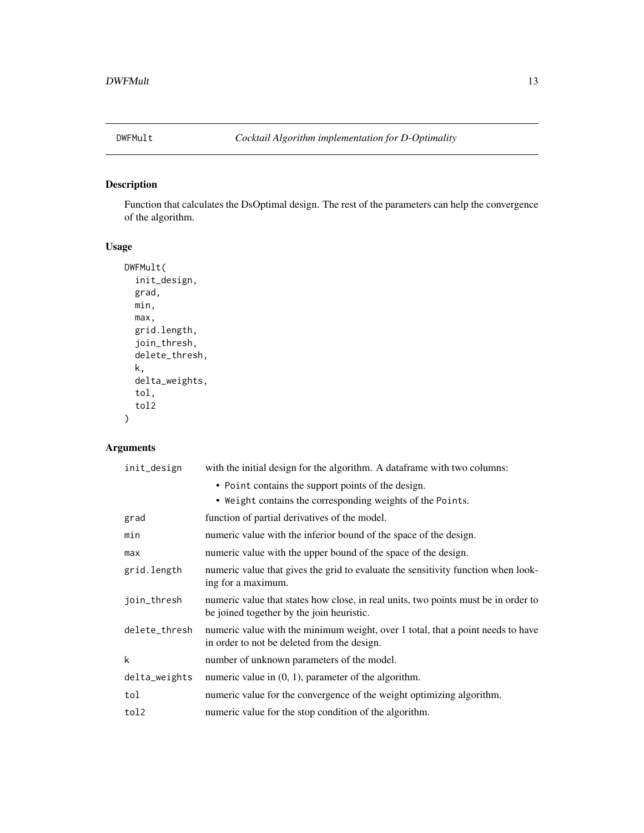<span id="page-12-1"></span><span id="page-12-0"></span>

Function that calculates the DsOptimal design. The rest of the parameters can help the convergence of the algorithm.

#### Usage

```
DWFMult(
  init_design,
  grad,
  min,
  max,
  grid.length,
  join_thresh,
  delete_thresh,
  k,
  delta_weights,
  tol,
  tol2
\mathcal{L}
```

| init_design   | with the initial design for the algorithm. A data frame with two columns:                                                       |
|---------------|---------------------------------------------------------------------------------------------------------------------------------|
|               | • Point contains the support points of the design.                                                                              |
|               | • Weight contains the corresponding weights of the Points.                                                                      |
| grad          | function of partial derivatives of the model.                                                                                   |
| min           | numeric value with the inferior bound of the space of the design.                                                               |
| max           | numeric value with the upper bound of the space of the design.                                                                  |
| grid.length   | numeric value that gives the grid to evaluate the sensitivity function when look-<br>ing for a maximum.                         |
| join_thresh   | numeric value that states how close, in real units, two points must be in order to<br>be joined together by the join heuristic. |
| delete_thresh | numeric value with the minimum weight, over 1 total, that a point needs to have<br>in order to not be deleted from the design.  |
| k             | number of unknown parameters of the model.                                                                                      |
| delta_weights | numeric value in $(0, 1)$ , parameter of the algorithm.                                                                         |
| tol           | numeric value for the convergence of the weight optimizing algorithm.                                                           |
| tol2          | numeric value for the stop condition of the algorithm.                                                                          |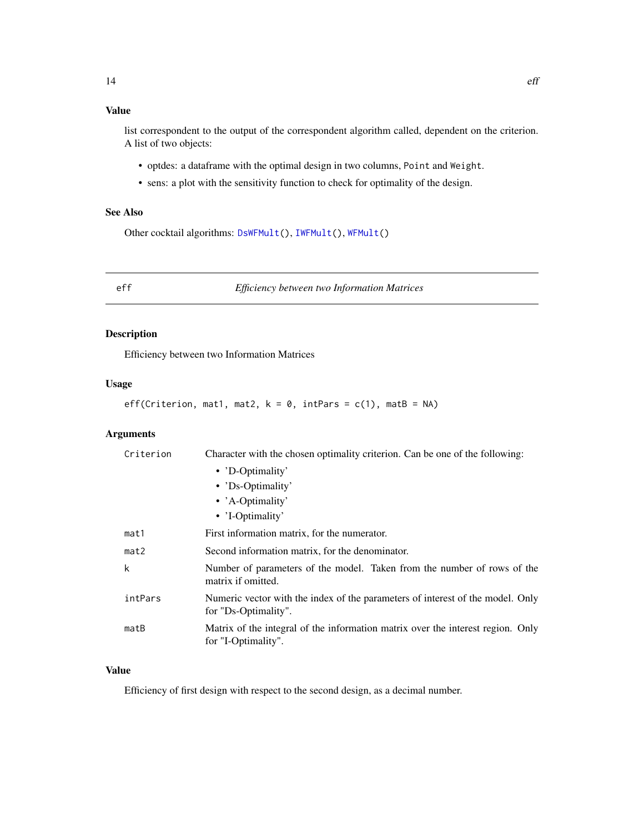# <span id="page-13-0"></span>Value

list correspondent to the output of the correspondent algorithm called, dependent on the criterion. A list of two objects:

- optdes: a dataframe with the optimal design in two columns, Point and Weight.
- sens: a plot with the sensitivity function to check for optimality of the design.

#### See Also

Other cocktail algorithms: [DsWFMult\(](#page-10-1)), [IWFMult\(](#page-20-1)), [WFMult\(](#page-32-1))

eff *Efficiency between two Information Matrices*

#### Description

Efficiency between two Information Matrices

#### Usage

```
eff(Criterion, mat1, mat2, k = 0, intPars = c(1), matB = NA)
```
#### Arguments

| Character with the chosen optimality criterion. Can be one of the following:<br>Criterion |                                                                                                        |
|-------------------------------------------------------------------------------------------|--------------------------------------------------------------------------------------------------------|
|                                                                                           | • 'D-Optimality'                                                                                       |
|                                                                                           | • 'Ds-Optimality'                                                                                      |
|                                                                                           | • 'A-Optimality'                                                                                       |
|                                                                                           | • 'I-Optimality'                                                                                       |
| mat1                                                                                      | First information matrix, for the numerator.                                                           |
| mat2                                                                                      | Second information matrix, for the denominator.                                                        |
| k                                                                                         | Number of parameters of the model. Taken from the number of rows of the<br>matrix if omitted.          |
| intPars                                                                                   | Numeric vector with the index of the parameters of interest of the model. Only<br>for "Ds-Optimality". |
| matB                                                                                      | Matrix of the integral of the information matrix over the interest region. Only<br>for "I-Optimality". |
|                                                                                           |                                                                                                        |

#### Value

Efficiency of first design with respect to the second design, as a decimal number.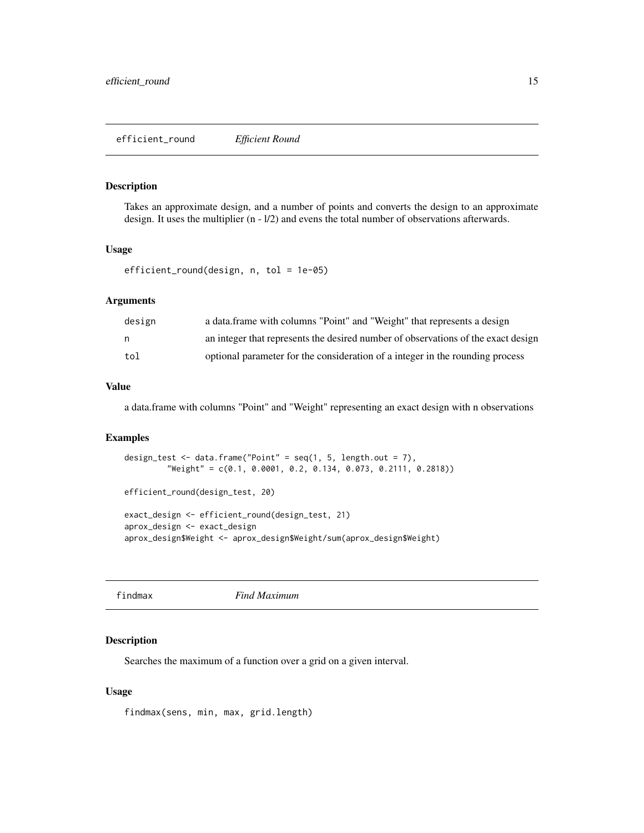<span id="page-14-0"></span>Takes an approximate design, and a number of points and converts the design to an approximate design. It uses the multiplier (n - l/2) and evens the total number of observations afterwards.

#### Usage

```
efficient_round(design, n, tol = 1e-05)
```
#### Arguments

| design | a data. frame with columns "Point" and "Weight" that represents a design          |
|--------|-----------------------------------------------------------------------------------|
| n      | an integer that represents the desired number of observations of the exact design |
| tol    | optional parameter for the consideration of a integer in the rounding process     |

#### Value

a data.frame with columns "Point" and "Weight" representing an exact design with n observations

#### Examples

```
design_test <- data.frame("Point" = seq(1, 5, length.out = 7),
         "Weight" = c(0.1, 0.0001, 0.2, 0.134, 0.073, 0.2111, 0.2818))
efficient_round(design_test, 20)
exact_design <- efficient_round(design_test, 21)
aprox_design <- exact_design
aprox_design$Weight <- aprox_design$Weight/sum(aprox_design$Weight)
```
findmax *Find Maximum*

#### Description

Searches the maximum of a function over a grid on a given interval.

#### Usage

findmax(sens, min, max, grid.length)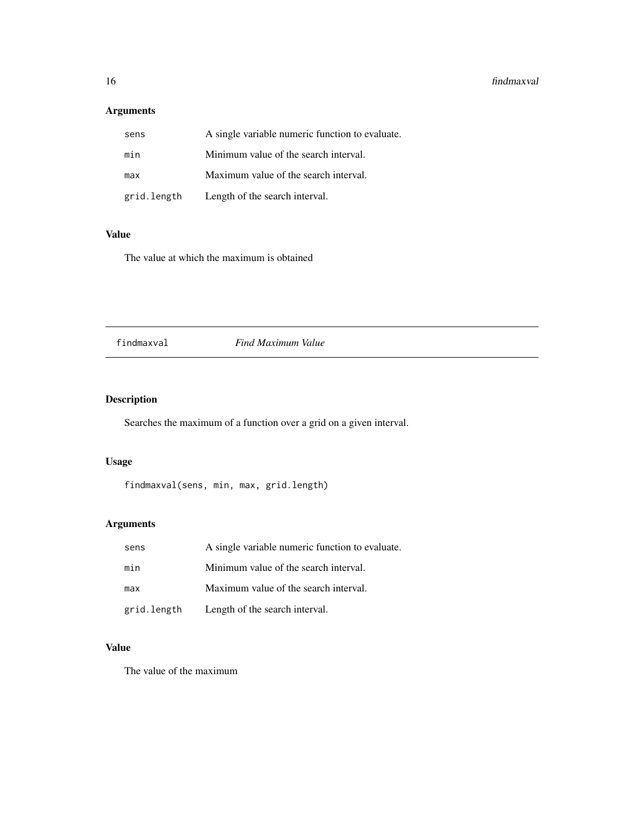# <span id="page-15-0"></span>Arguments

| sens        | A single variable numeric function to evaluate. |
|-------------|-------------------------------------------------|
| min         | Minimum value of the search interval.           |
| max         | Maximum value of the search interval.           |
| grid.length | Length of the search interval.                  |

# Value

The value at which the maximum is obtained

#### findmaxval *Find Maximum Value*

# Description

Searches the maximum of a function over a grid on a given interval.

#### Usage

findmaxval(sens, min, max, grid.length)

# Arguments

| sens        | A single variable numeric function to evaluate. |
|-------------|-------------------------------------------------|
| min         | Minimum value of the search interval.           |
| max         | Maximum value of the search interval.           |
| grid.length | Length of the search interval.                  |

# Value

The value of the maximum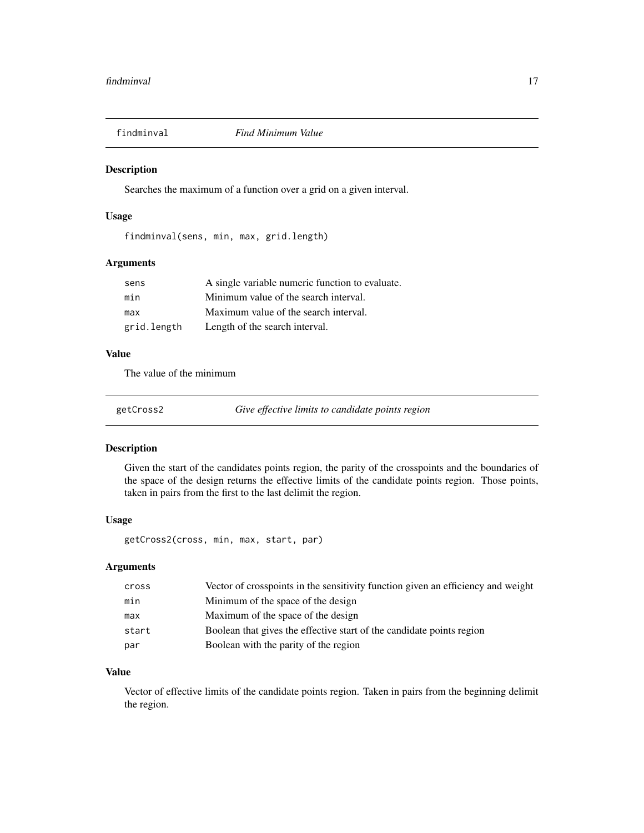<span id="page-16-0"></span>

Searches the maximum of a function over a grid on a given interval.

#### Usage

```
findminval(sens, min, max, grid.length)
```
#### Arguments

| sens        | A single variable numeric function to evaluate. |
|-------------|-------------------------------------------------|
| min         | Minimum value of the search interval.           |
| max         | Maximum value of the search interval.           |
| grid.length | Length of the search interval.                  |

# Value

The value of the minimum

getCross2 *Give effective limits to candidate points region*

#### Description

Given the start of the candidates points region, the parity of the crosspoints and the boundaries of the space of the design returns the effective limits of the candidate points region. Those points, taken in pairs from the first to the last delimit the region.

#### Usage

getCross2(cross, min, max, start, par)

#### Arguments

| cross | Vector of crosspoints in the sensitivity function given an efficiency and weight |
|-------|----------------------------------------------------------------------------------|
| min   | Minimum of the space of the design                                               |
| max   | Maximum of the space of the design                                               |
| start | Boolean that gives the effective start of the candidate points region            |
| par   | Boolean with the parity of the region                                            |

#### Value

Vector of effective limits of the candidate points region. Taken in pairs from the beginning delimit the region.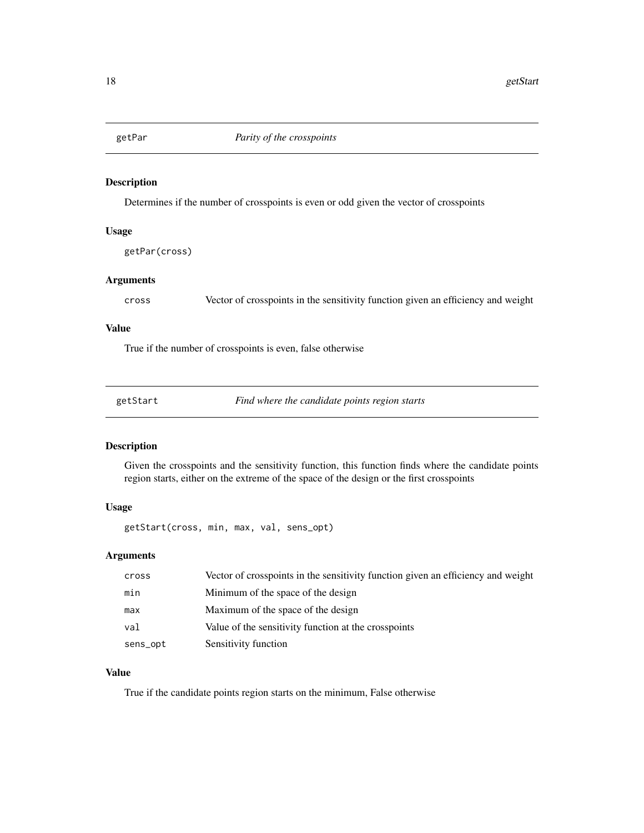<span id="page-17-0"></span>

Determines if the number of crosspoints is even or odd given the vector of crosspoints

### Usage

getPar(cross)

#### Arguments

cross Vector of crosspoints in the sensitivity function given an efficiency and weight

#### Value

True if the number of crosspoints is even, false otherwise

| getStart |  |
|----------|--|
|          |  |

Find where the candidate points region starts

# Description

Given the crosspoints and the sensitivity function, this function finds where the candidate points region starts, either on the extreme of the space of the design or the first crosspoints

#### Usage

getStart(cross, min, max, val, sens\_opt)

### Arguments

| cross    | Vector of crosspoints in the sensitivity function given an efficiency and weight |
|----------|----------------------------------------------------------------------------------|
| min      | Minimum of the space of the design                                               |
| max      | Maximum of the space of the design                                               |
| val      | Value of the sensitivity function at the crosspoints                             |
| sens_opt | Sensitivity function                                                             |

#### Value

True if the candidate points region starts on the minimum, False otherwise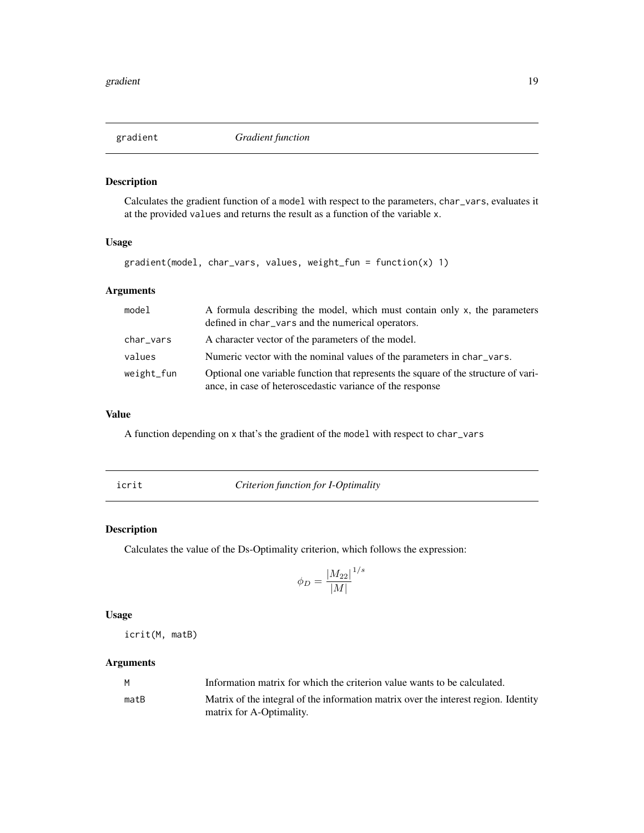<span id="page-18-0"></span>

Calculates the gradient function of a model with respect to the parameters, char\_vars, evaluates it at the provided values and returns the result as a function of the variable x.

#### Usage

```
gradient(model, char_vars, values, weight_fun = function(x) 1)
```
#### Arguments

| model      | A formula describing the model, which must contain only x, the parameters<br>defined in char_vars and the numerical operators.                   |
|------------|--------------------------------------------------------------------------------------------------------------------------------------------------|
| char_vars  | A character vector of the parameters of the model.                                                                                               |
| values     | Numeric vector with the nominal values of the parameters in char-vars.                                                                           |
| weight_fun | Optional one variable function that represents the square of the structure of vari-<br>ance, in case of heteroscedastic variance of the response |

#### Value

A function depending on x that's the gradient of the model with respect to char\_vars

icrit *Criterion function for I-Optimality*

#### Description

Calculates the value of the Ds-Optimality criterion, which follows the expression:

$$
\phi_D = \frac{|M_{22}|}{|M|}^{1/s}
$$

#### Usage

icrit(M, matB)

| Information matrix for which the criterion value wants to be calculated.<br>M                                                 |  |
|-------------------------------------------------------------------------------------------------------------------------------|--|
| Matrix of the integral of the information matrix over the interest region. Identity<br>$m$ at $B$<br>matrix for A-Optimality. |  |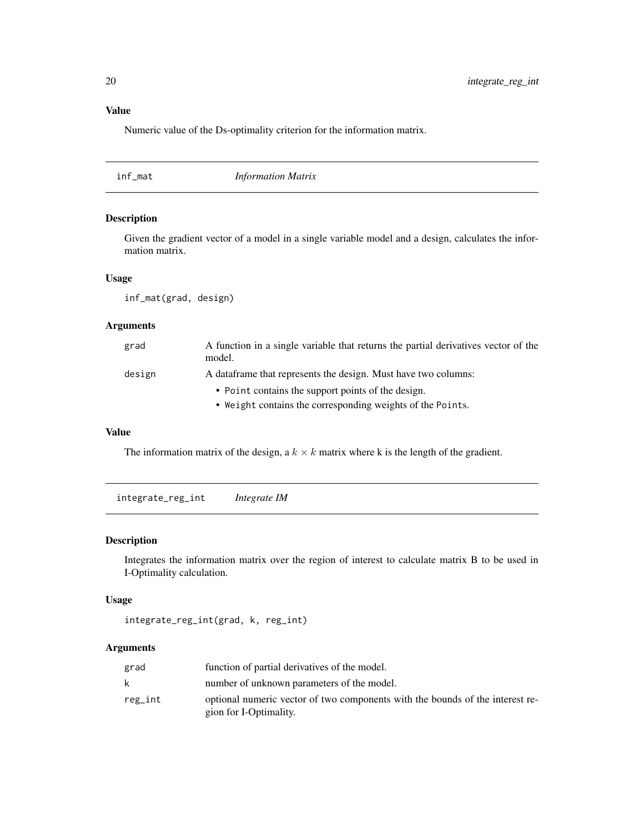# <span id="page-19-0"></span>Value

Numeric value of the Ds-optimality criterion for the information matrix.

|--|

### Description

Given the gradient vector of a model in a single variable model and a design, calculates the information matrix.

#### Usage

inf\_mat(grad, design)

#### Arguments

| grad   | A function in a single variable that returns the partial derivatives vector of the<br>model.                     |
|--------|------------------------------------------------------------------------------------------------------------------|
| design | A data frame that represents the design. Must have two columns:                                                  |
|        | • Point contains the support points of the design.<br>• Weight contains the corresponding weights of the Points. |

#### Value

The information matrix of the design, a  $k \times k$  matrix where k is the length of the gradient.

integrate\_reg\_int *Integrate IM*

#### Description

Integrates the information matrix over the region of interest to calculate matrix B to be used in I-Optimality calculation.

#### Usage

integrate\_reg\_int(grad, k, reg\_int)

| grad    | function of partial derivatives of the model.                                                           |
|---------|---------------------------------------------------------------------------------------------------------|
| k       | number of unknown parameters of the model.                                                              |
| reg_int | optional numeric vector of two components with the bounds of the interest re-<br>gion for I-Optimality. |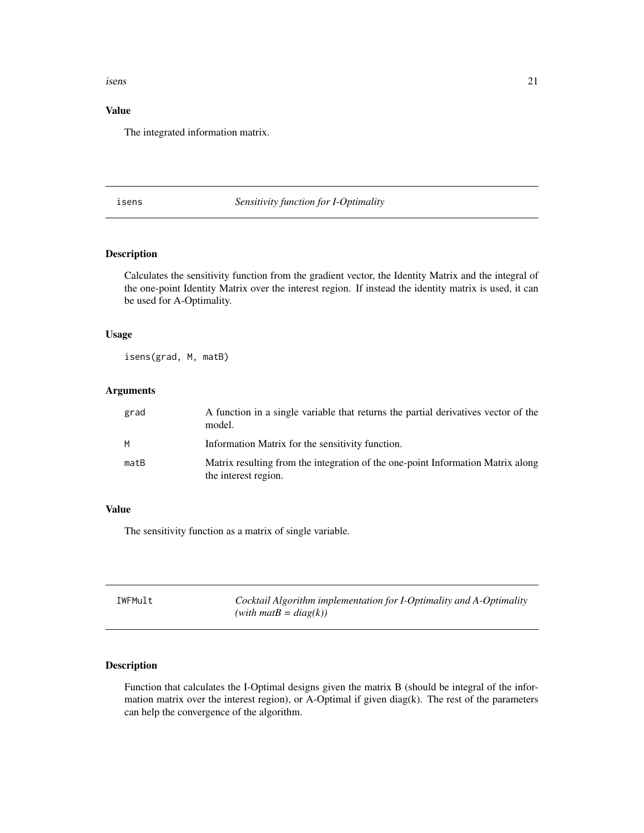#### <span id="page-20-0"></span>isens 21

# Value

The integrated information matrix.

#### isens *Sensitivity function for I-Optimality*

#### Description

Calculates the sensitivity function from the gradient vector, the Identity Matrix and the integral of the one-point Identity Matrix over the interest region. If instead the identity matrix is used, it can be used for A-Optimality.

#### Usage

isens(grad, M, matB)

#### Arguments

| grad       | A function in a single variable that returns the partial derivatives vector of the<br>model.            |
|------------|---------------------------------------------------------------------------------------------------------|
| M          | Information Matrix for the sensitivity function.                                                        |
| $m$ at $B$ | Matrix resulting from the integration of the one-point Information Matrix along<br>the interest region. |

# Value

The sensitivity function as a matrix of single variable.

<span id="page-20-1"></span>

| IWFMult | Cocktail Algorithm implementation for I-Optimality and A-Optimality |
|---------|---------------------------------------------------------------------|
|         | $(with \, matB = diag(k))$                                          |

# Description

Function that calculates the I-Optimal designs given the matrix B (should be integral of the information matrix over the interest region), or A-Optimal if given diag(k). The rest of the parameters can help the convergence of the algorithm.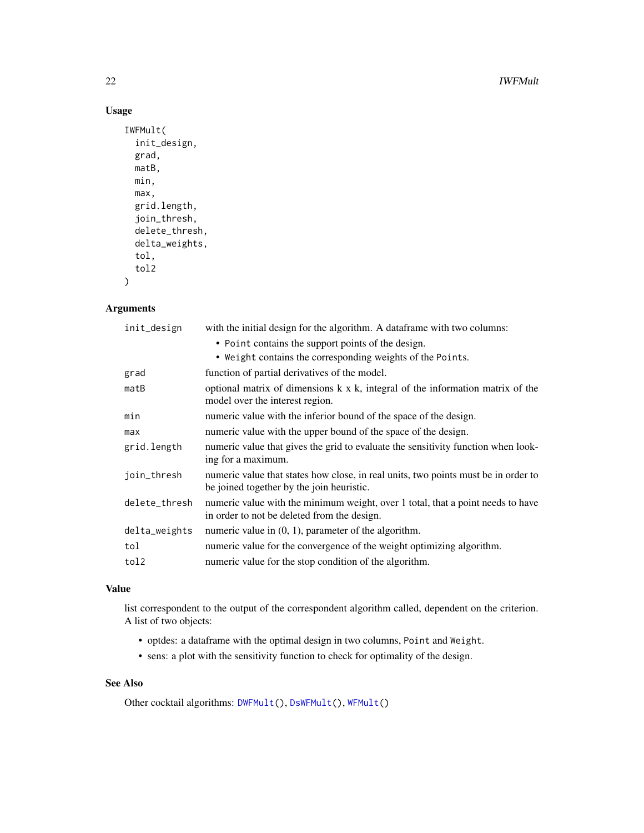# Usage

```
IWFMult(
  init_design,
  grad,
 matB,
 min,
 max,
  grid.length,
  join_thresh,
  delete_thresh,
  delta_weights,
  tol,
  tol2
)
```
#### Arguments

| init_design   | with the initial design for the algorithm. A dataframe with two columns:                                                        |
|---------------|---------------------------------------------------------------------------------------------------------------------------------|
|               | • Point contains the support points of the design.                                                                              |
|               | • Weight contains the corresponding weights of the Points.                                                                      |
| grad          | function of partial derivatives of the model.                                                                                   |
| matB          | optional matrix of dimensions k x k, integral of the information matrix of the<br>model over the interest region.               |
| min           | numeric value with the inferior bound of the space of the design.                                                               |
| max           | numeric value with the upper bound of the space of the design.                                                                  |
| grid.length   | numeric value that gives the grid to evaluate the sensitivity function when look-<br>ing for a maximum.                         |
| join_thresh   | numeric value that states how close, in real units, two points must be in order to<br>be joined together by the join heuristic. |
| delete_thresh | numeric value with the minimum weight, over 1 total, that a point needs to have<br>in order to not be deleted from the design.  |
| delta_weights | numeric value in $(0, 1)$ , parameter of the algorithm.                                                                         |
| tol           | numeric value for the convergence of the weight optimizing algorithm.                                                           |
| tol2          | numeric value for the stop condition of the algorithm.                                                                          |
|               |                                                                                                                                 |

#### Value

list correspondent to the output of the correspondent algorithm called, dependent on the criterion. A list of two objects:

- optdes: a dataframe with the optimal design in two columns, Point and Weight.
- sens: a plot with the sensitivity function to check for optimality of the design.

#### See Also

Other cocktail algorithms: [DWFMult\(](#page-12-1)), [DsWFMult\(](#page-10-1)), [WFMult\(](#page-32-1))

<span id="page-21-0"></span>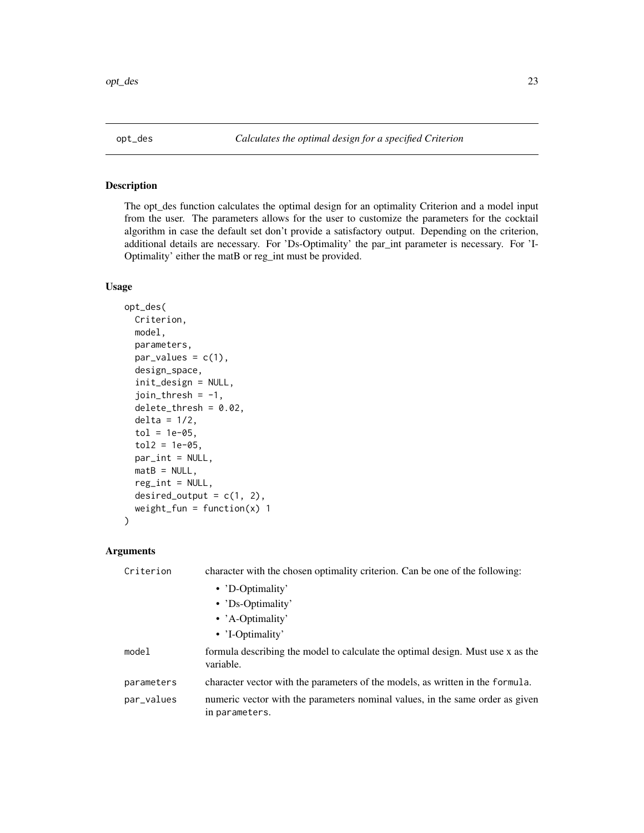<span id="page-22-0"></span>

The opt\_des function calculates the optimal design for an optimality Criterion and a model input from the user. The parameters allows for the user to customize the parameters for the cocktail algorithm in case the default set don't provide a satisfactory output. Depending on the criterion, additional details are necessary. For 'Ds-Optimality' the par\_int parameter is necessary. For 'I-Optimality' either the matB or reg\_int must be provided.

#### Usage

```
opt_des(
  Criterion,
  model,
  parameters,
  par\_values = c(1),
  design_space,
  init_design = NULL,
  join_{\text{thresh}} = -1,
  delete_thresh = 0.02,
  delta = 1/2,
  tol = 1e-05,tol2 = 1e-05,
  par\_int = NULL,matB = NULL,
  reg\_int = NULL,desired_output = c(1, 2),
  weight_fun = function(x) 1
\mathcal{L}
```

| Criterion  | character with the chosen optimality criterion. Can be one of the following:                    |
|------------|-------------------------------------------------------------------------------------------------|
|            | • 'D-Optimality'                                                                                |
|            | • 'Ds-Optimality'                                                                               |
|            | • 'A-Optimality'                                                                                |
|            | • 'I-Optimality'                                                                                |
| model      | formula describing the model to calculate the optimal design. Must use x as the<br>variable.    |
| parameters | character vector with the parameters of the models, as written in the formula.                  |
| par_values | numeric vector with the parameters nominal values, in the same order as given<br>in parameters. |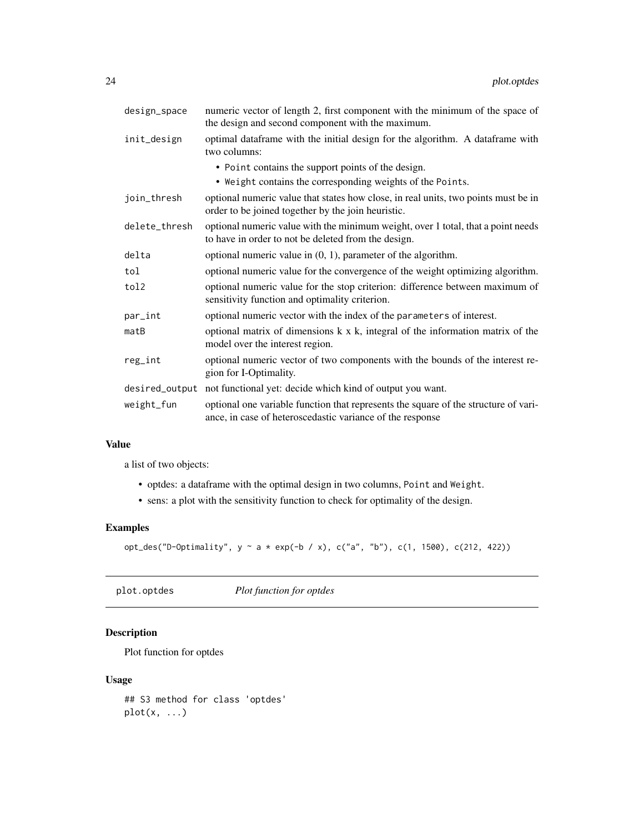<span id="page-23-0"></span>

| design_space   | numeric vector of length 2, first component with the minimum of the space of<br>the design and second component with the maximum.                |
|----------------|--------------------------------------------------------------------------------------------------------------------------------------------------|
| init_design    | optimal dataframe with the initial design for the algorithm. A dataframe with<br>two columns:                                                    |
|                | • Point contains the support points of the design.<br>• Weight contains the corresponding weights of the Points.                                 |
| join_thresh    | optional numeric value that states how close, in real units, two points must be in<br>order to be joined together by the join heuristic.         |
| delete_thresh  | optional numeric value with the minimum weight, over 1 total, that a point needs<br>to have in order to not be deleted from the design.          |
| delta          | optional numeric value in $(0, 1)$ , parameter of the algorithm.                                                                                 |
| tol            | optional numeric value for the convergence of the weight optimizing algorithm.                                                                   |
| tol2           | optional numeric value for the stop criterion: difference between maximum of<br>sensitivity function and optimality criterion.                   |
| par_int        | optional numeric vector with the index of the parameters of interest.                                                                            |
| $m$ at $B$     | optional matrix of dimensions k x k, integral of the information matrix of the<br>model over the interest region.                                |
| reg_int        | optional numeric vector of two components with the bounds of the interest re-<br>gion for I-Optimality.                                          |
| desired_output | not functional yet: decide which kind of output you want.                                                                                        |
| weight_fun     | optional one variable function that represents the square of the structure of vari-<br>ance, in case of heteroscedastic variance of the response |

#### Value

a list of two objects:

- optdes: a dataframe with the optimal design in two columns, Point and Weight.
- sens: a plot with the sensitivity function to check for optimality of the design.

#### Examples

opt\_des("D-Optimality", y ~ a \* exp(-b / x), c("a", "b"), c(1, 1500), c(212, 422))

plot.optdes *Plot function for optdes*

# Description

Plot function for optdes

#### Usage

## S3 method for class 'optdes'  $plot(x, \ldots)$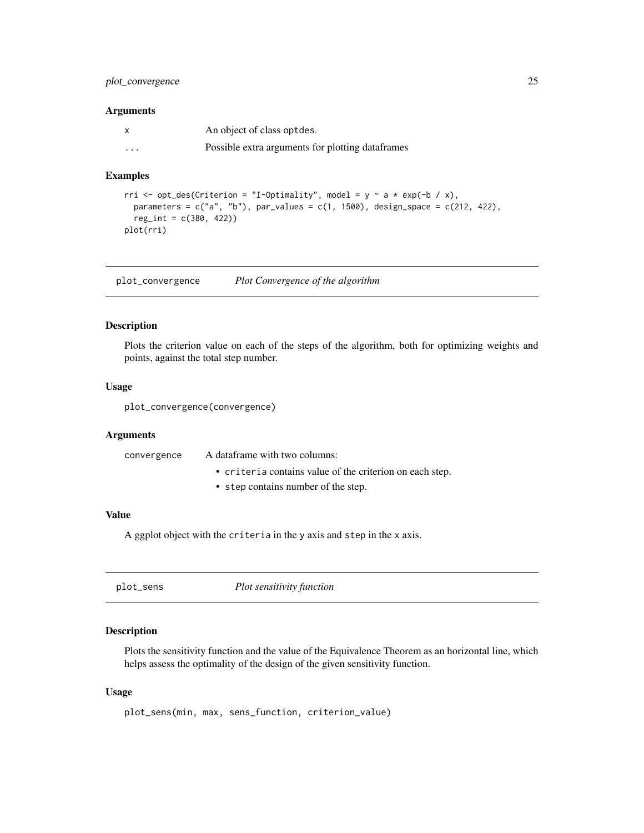#### <span id="page-24-0"></span>plot\_convergence 25

#### Arguments

| X        | An object of class optdes.                        |
|----------|---------------------------------------------------|
| $\cdots$ | Possible extra arguments for plotting data frames |

#### Examples

```
rri \le opt_des(Criterion = "I-Optimality", model = y \sim a \star exp(-b / x),
  parameters = c("a", "b"), par_values = c(1, 1500), design_space = c(212, 422),
  reg_int = c(380, 422))
plot(rri)
```
plot\_convergence *Plot Convergence of the algorithm*

#### Description

Plots the criterion value on each of the steps of the algorithm, both for optimizing weights and points, against the total step number.

#### Usage

plot\_convergence(convergence)

#### Arguments

convergence A dataframe with two columns: • criteria contains value of the criterion on each step. • step contains number of the step.

#### Value

A ggplot object with the criteria in the y axis and step in the x axis.

plot\_sens *Plot sensitivity function*

#### Description

Plots the sensitivity function and the value of the Equivalence Theorem as an horizontal line, which helps assess the optimality of the design of the given sensitivity function.

#### Usage

plot\_sens(min, max, sens\_function, criterion\_value)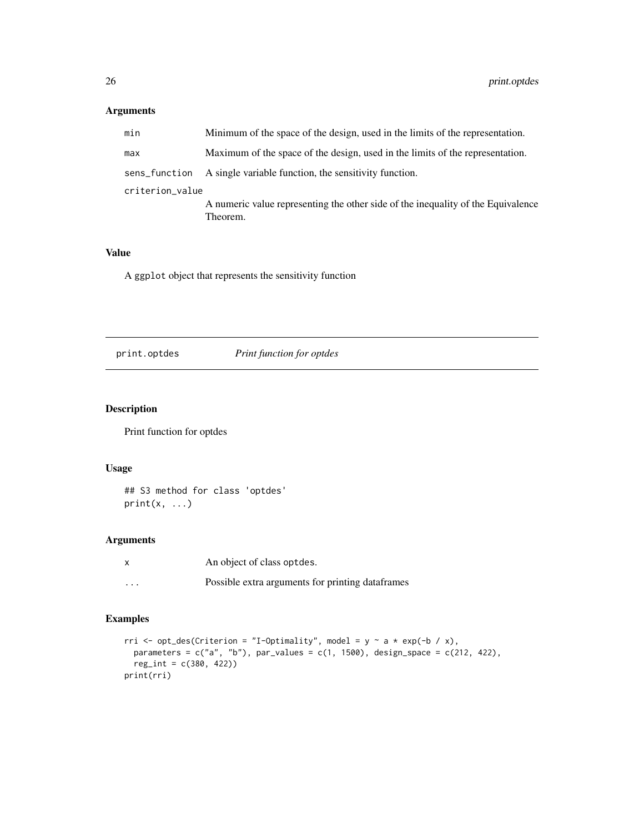# <span id="page-25-0"></span>Arguments

| min             | Minimum of the space of the design, used in the limits of the representation.    |  |
|-----------------|----------------------------------------------------------------------------------|--|
| max             | Maximum of the space of the design, used in the limits of the representation.    |  |
| sens_function   | A single variable function, the sensitivity function.                            |  |
| criterion_value |                                                                                  |  |
|                 | A numeric value representing the other side of the inequality of the Equivalence |  |
|                 | Theorem.                                                                         |  |

#### Value

A ggplot object that represents the sensitivity function

print.optdes *Print function for optdes*

#### Description

Print function for optdes

# Usage

```
## S3 method for class 'optdes'
print(x, \ldots)
```
#### Arguments

| x        | An object of class optdes.                       |
|----------|--------------------------------------------------|
| $\cdots$ | Possible extra arguments for printing dataframes |

# Examples

```
rri \le opt_des(Criterion = "I-Optimality", model = y \sim a \star exp(-b / x),
  parameters = c("a", "b"), par_values = c(1, 1500), design_space = c(212, 422),
  reg_int = c(380, 422))
print(rri)
```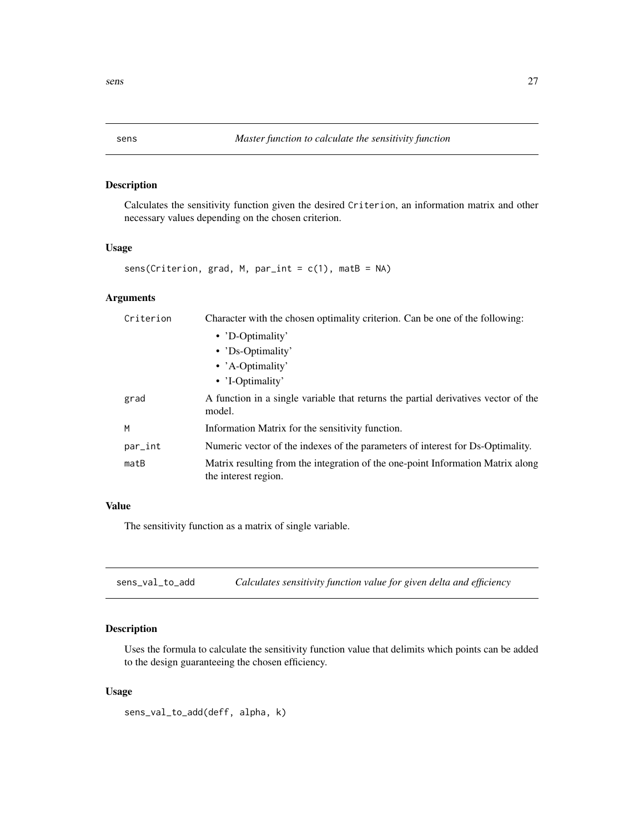Calculates the sensitivity function given the desired Criterion, an information matrix and other necessary values depending on the chosen criterion.

#### Usage

```
sens(Criterion, grad, M, par_int = c(1), matB = NA)
```
#### Arguments

| Criterion | Character with the chosen optimality criterion. Can be one of the following:                            |
|-----------|---------------------------------------------------------------------------------------------------------|
|           | • 'D-Optimality'                                                                                        |
|           | • 'Ds-Optimality'                                                                                       |
|           | • 'A-Optimality'                                                                                        |
|           | • 'I-Optimality'                                                                                        |
| grad      | A function in a single variable that returns the partial derivatives vector of the<br>model.            |
| M         | Information Matrix for the sensitivity function.                                                        |
| par_int   | Numeric vector of the indexes of the parameters of interest for Ds-Optimality.                          |
| matB      | Matrix resulting from the integration of the one-point Information Matrix along<br>the interest region. |

# Value

The sensitivity function as a matrix of single variable.

sens\_val\_to\_add *Calculates sensitivity function value for given delta and efficiency*

#### Description

Uses the formula to calculate the sensitivity function value that delimits which points can be added to the design guaranteeing the chosen efficiency.

#### Usage

sens\_val\_to\_add(deff, alpha, k)

<span id="page-26-0"></span>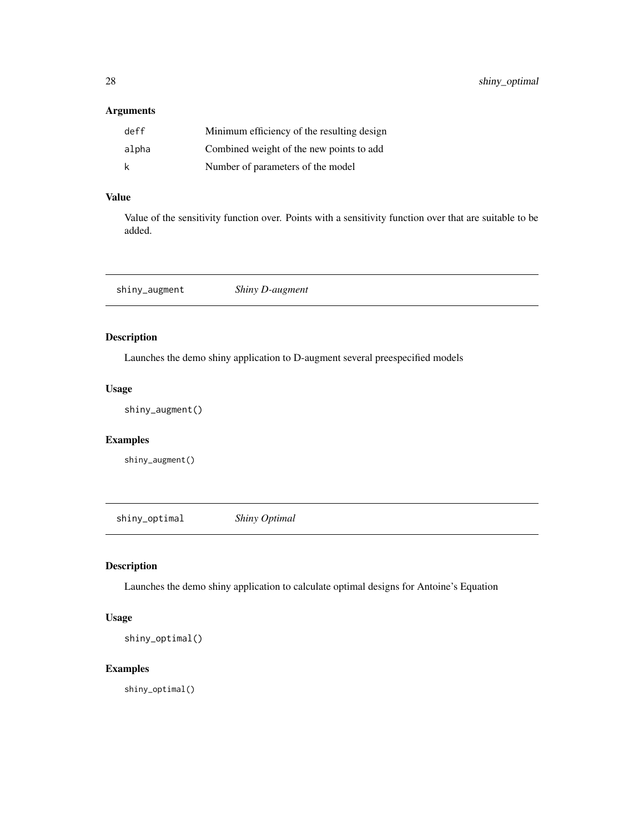#### <span id="page-27-0"></span>Arguments

| deff  | Minimum efficiency of the resulting design |
|-------|--------------------------------------------|
| alpha | Combined weight of the new points to add   |
| k     | Number of parameters of the model          |

# Value

Value of the sensitivity function over. Points with a sensitivity function over that are suitable to be added.

shiny\_augment *Shiny D-augment*

# Description

Launches the demo shiny application to D-augment several preespecified models

#### Usage

shiny\_augment()

# Examples

shiny\_augment()

shiny\_optimal *Shiny Optimal*

#### Description

Launches the demo shiny application to calculate optimal designs for Antoine's Equation

# Usage

shiny\_optimal()

#### Examples

shiny\_optimal()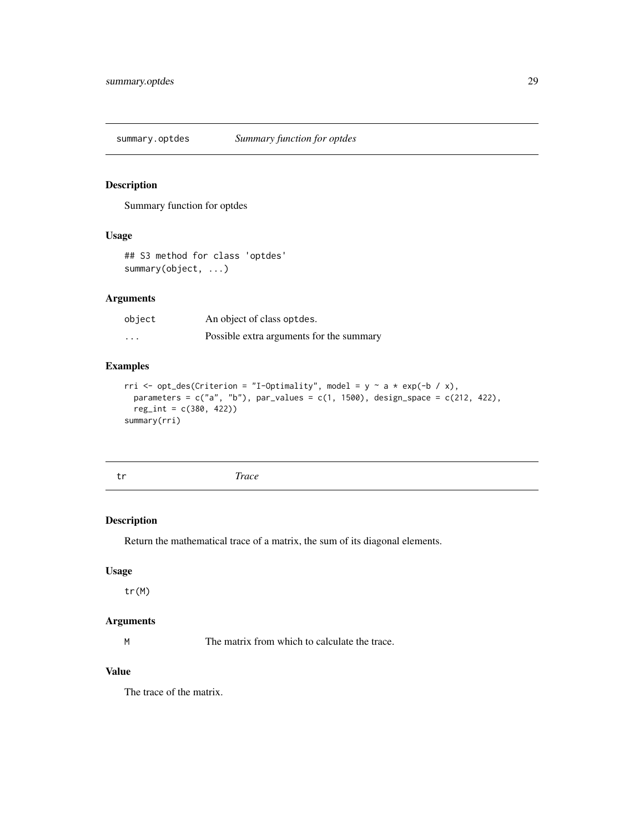<span id="page-28-0"></span>summary.optdes *Summary function for optdes*

# Description

Summary function for optdes

#### Usage

## S3 method for class 'optdes' summary(object, ...)

#### Arguments

| object  | An object of class optdes.               |
|---------|------------------------------------------|
| $\cdot$ | Possible extra arguments for the summary |

#### Examples

```
rri \le opt_des(Criterion = "I-Optimality", model = y \sim a \star exp(-b / x),
  parameters = c("a", "b"), par_values = c(1, 1500), design_space = c(212, 422),
  reg_int = c(380, 422))
summary(rri)
```
tr *Trace*

# Description

Return the mathematical trace of a matrix, the sum of its diagonal elements.

#### Usage

tr(M)

# Arguments

M The matrix from which to calculate the trace.

#### Value

The trace of the matrix.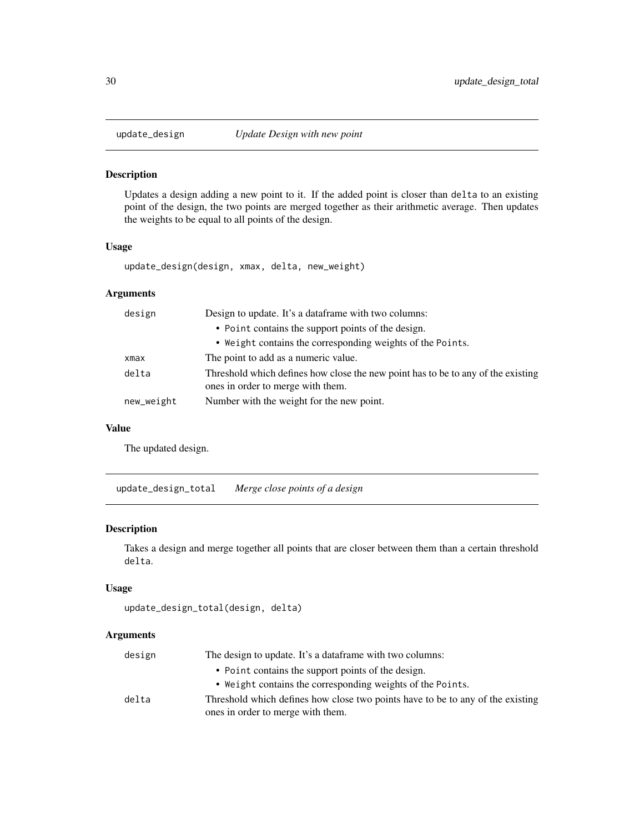<span id="page-29-0"></span>

Updates a design adding a new point to it. If the added point is closer than delta to an existing point of the design, the two points are merged together as their arithmetic average. Then updates the weights to be equal to all points of the design.

#### Usage

update\_design(design, xmax, delta, new\_weight)

#### Arguments

| design     | Design to update. It's a dataframe with two columns:                                                                  |
|------------|-----------------------------------------------------------------------------------------------------------------------|
|            | • Point contains the support points of the design.<br>• Weight contains the corresponding weights of the Points.      |
| xmax       | The point to add as a numeric value.                                                                                  |
| delta      | Threshold which defines how close the new point has to be to any of the existing<br>ones in order to merge with them. |
| new_weight | Number with the weight for the new point.                                                                             |

# Value

The updated design.

update\_design\_total *Merge close points of a design*

#### Description

Takes a design and merge together all points that are closer between them than a certain threshold delta.

#### Usage

```
update_design_total(design, delta)
```

| design | The design to update. It's a dataframe with two columns:                       |
|--------|--------------------------------------------------------------------------------|
|        | • Point contains the support points of the design.                             |
|        | • Weight contains the corresponding weights of the Points.                     |
| delta  | Threshold which defines how close two points have to be to any of the existing |
|        | ones in order to merge with them.                                              |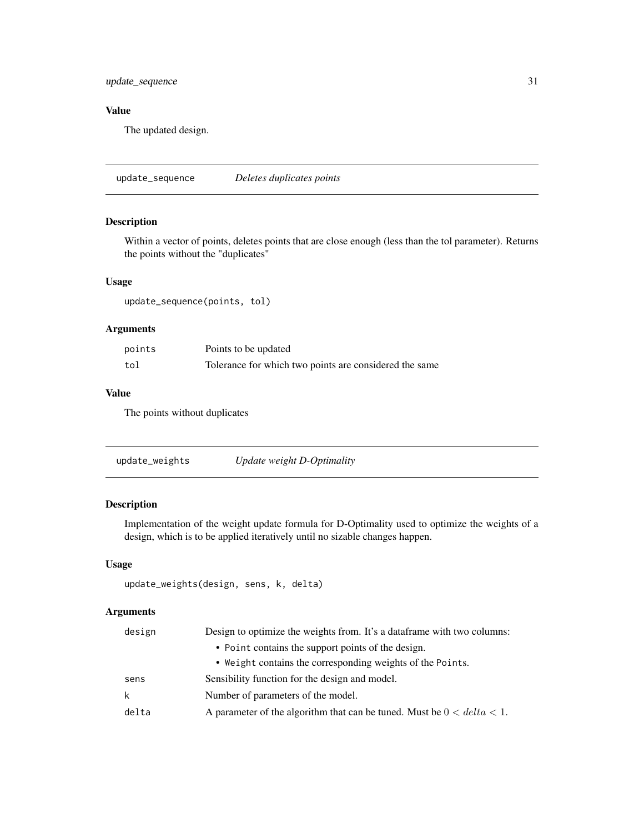#### <span id="page-30-0"></span>update\_sequence 31

# Value

The updated design.

update\_sequence *Deletes duplicates points*

#### Description

Within a vector of points, deletes points that are close enough (less than the tol parameter). Returns the points without the "duplicates"

# Usage

update\_sequence(points, tol)

#### Arguments

| points | Points to be updated                                   |
|--------|--------------------------------------------------------|
| tol    | Tolerance for which two points are considered the same |

# Value

The points without duplicates

| update_weights | Update weight D-Optimality |
|----------------|----------------------------|
|----------------|----------------------------|

#### Description

Implementation of the weight update formula for D-Optimality used to optimize the weights of a design, which is to be applied iteratively until no sizable changes happen.

#### Usage

```
update_weights(design, sens, k, delta)
```

| design | Design to optimize the weights from. It's a data frame with two columns:  |
|--------|---------------------------------------------------------------------------|
|        | • Point contains the support points of the design.                        |
|        | • Weight contains the corresponding weights of the Points.                |
| sens   | Sensibility function for the design and model.                            |
| k      | Number of parameters of the model.                                        |
| delta  | A parameter of the algorithm that can be tuned. Must be $0 < delta < 1$ . |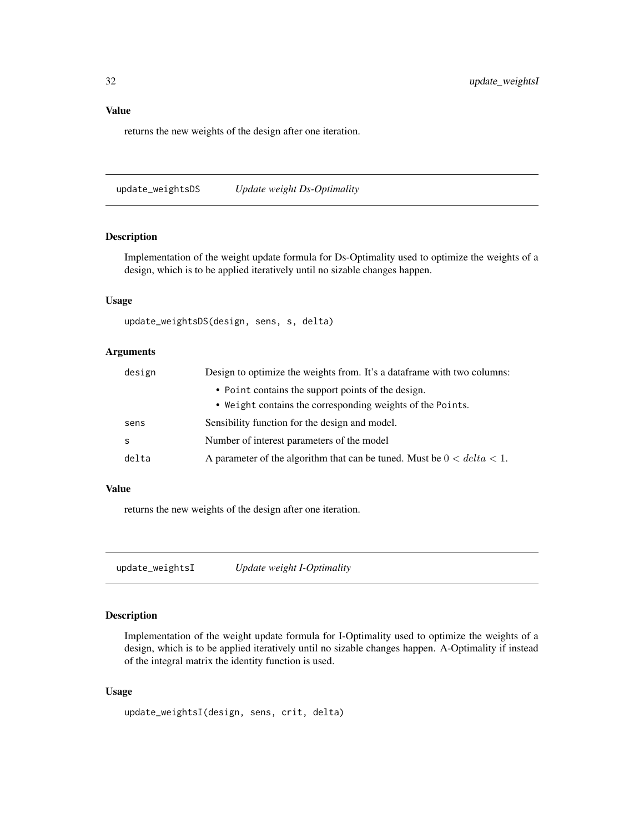#### <span id="page-31-0"></span>Value

returns the new weights of the design after one iteration.

update\_weightsDS *Update weight Ds-Optimality*

# Description

Implementation of the weight update formula for Ds-Optimality used to optimize the weights of a design, which is to be applied iteratively until no sizable changes happen.

#### Usage

```
update_weightsDS(design, sens, s, delta)
```
#### Arguments

| design | Design to optimize the weights from. It's a dataframe with two columns:   |
|--------|---------------------------------------------------------------------------|
|        | • Point contains the support points of the design.                        |
|        | • Weight contains the corresponding weights of the Points.                |
| sens   | Sensibility function for the design and model.                            |
| S      | Number of interest parameters of the model                                |
| delta  | A parameter of the algorithm that can be tuned. Must be $0 < delta < 1$ . |

#### Value

returns the new weights of the design after one iteration.

update\_weightsI *Update weight I-Optimality*

#### Description

Implementation of the weight update formula for I-Optimality used to optimize the weights of a design, which is to be applied iteratively until no sizable changes happen. A-Optimality if instead of the integral matrix the identity function is used.

#### Usage

```
update_weightsI(design, sens, crit, delta)
```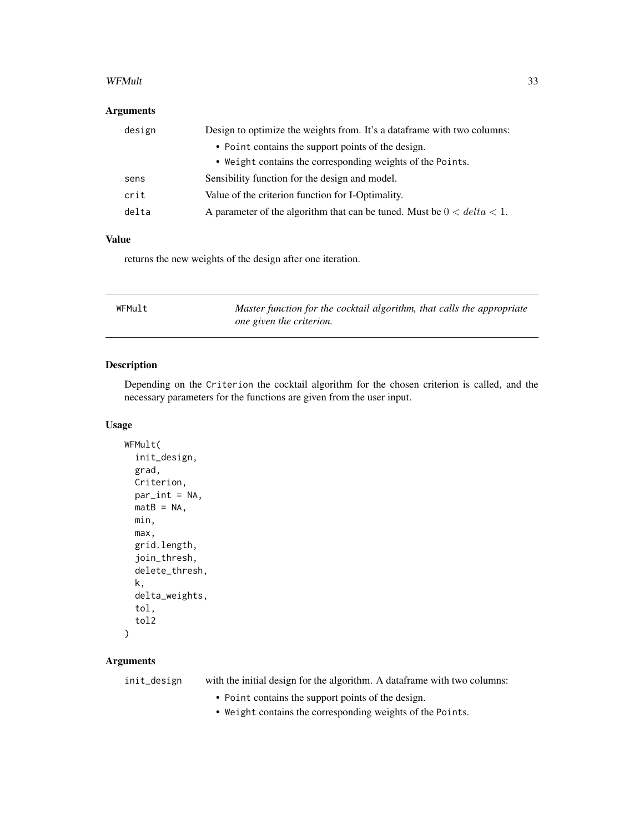#### <span id="page-32-0"></span> $WFMult$  33

#### Arguments

| design | Design to optimize the weights from. It's a dataframe with two columns:   |
|--------|---------------------------------------------------------------------------|
|        | • Point contains the support points of the design.                        |
|        | • Weight contains the corresponding weights of the Points.                |
| sens   | Sensibility function for the design and model.                            |
| crit   | Value of the criterion function for I-Optimality.                         |
| delta  | A parameter of the algorithm that can be tuned. Must be $0 < delta < 1$ . |
|        |                                                                           |

#### Value

returns the new weights of the design after one iteration.

<span id="page-32-1"></span>

| WFMult | Master function for the cocktail algorithm, that calls the appropriate |
|--------|------------------------------------------------------------------------|
|        | one given the criterion.                                               |

# Description

Depending on the Criterion the cocktail algorithm for the chosen criterion is called, and the necessary parameters for the functions are given from the user input.

#### Usage

```
WFMult(
  init_design,
  grad,
  Criterion,
  par_int = NA,
  \text{matB} = \text{NA},
  min,
  max,
  grid.length,
  join_thresh,
  delete_thresh,
  k,
  delta_weights,
  tol,
  tol2
```
#### Arguments

)

init\_design with the initial design for the algorithm. A dataframe with two columns:

- Point contains the support points of the design.
- Weight contains the corresponding weights of the Points.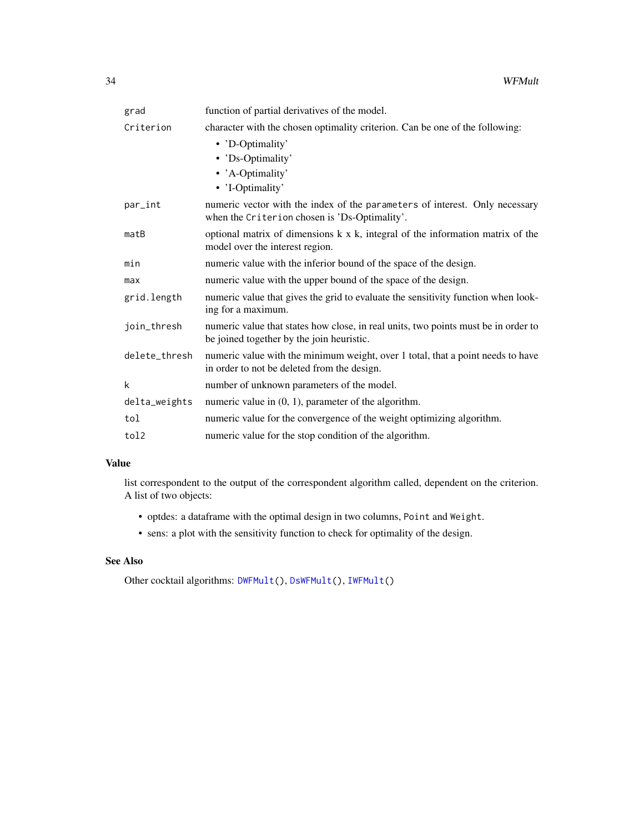<span id="page-33-0"></span>

| grad          | function of partial derivatives of the model.                                                                                   |
|---------------|---------------------------------------------------------------------------------------------------------------------------------|
| Criterion     | character with the chosen optimality criterion. Can be one of the following:                                                    |
|               | • 'D-Optimality'                                                                                                                |
|               | • 'Ds-Optimality'                                                                                                               |
|               | • 'A-Optimality'                                                                                                                |
|               | • 'I-Optimality'                                                                                                                |
| par_int       | numeric vector with the index of the parameters of interest. Only necessary<br>when the Criterion chosen is 'Ds-Optimality'.    |
| matB          | optional matrix of dimensions k x k, integral of the information matrix of the<br>model over the interest region.               |
| min           | numeric value with the inferior bound of the space of the design.                                                               |
| max           | numeric value with the upper bound of the space of the design.                                                                  |
| grid.length   | numeric value that gives the grid to evaluate the sensitivity function when look-<br>ing for a maximum.                         |
| join_thresh   | numeric value that states how close, in real units, two points must be in order to<br>be joined together by the join heuristic. |
| delete_thresh | numeric value with the minimum weight, over 1 total, that a point needs to have<br>in order to not be deleted from the design.  |
| k             | number of unknown parameters of the model.                                                                                      |
| delta_weights | numeric value in $(0, 1)$ , parameter of the algorithm.                                                                         |
| tol           | numeric value for the convergence of the weight optimizing algorithm.                                                           |
| tol2          | numeric value for the stop condition of the algorithm.                                                                          |

# Value

list correspondent to the output of the correspondent algorithm called, dependent on the criterion. A list of two objects:

- optdes: a dataframe with the optimal design in two columns, Point and Weight.
- sens: a plot with the sensitivity function to check for optimality of the design.

# See Also

Other cocktail algorithms: [DWFMult\(](#page-12-1)), [DsWFMult\(](#page-10-1)), [IWFMult\(](#page-20-1))